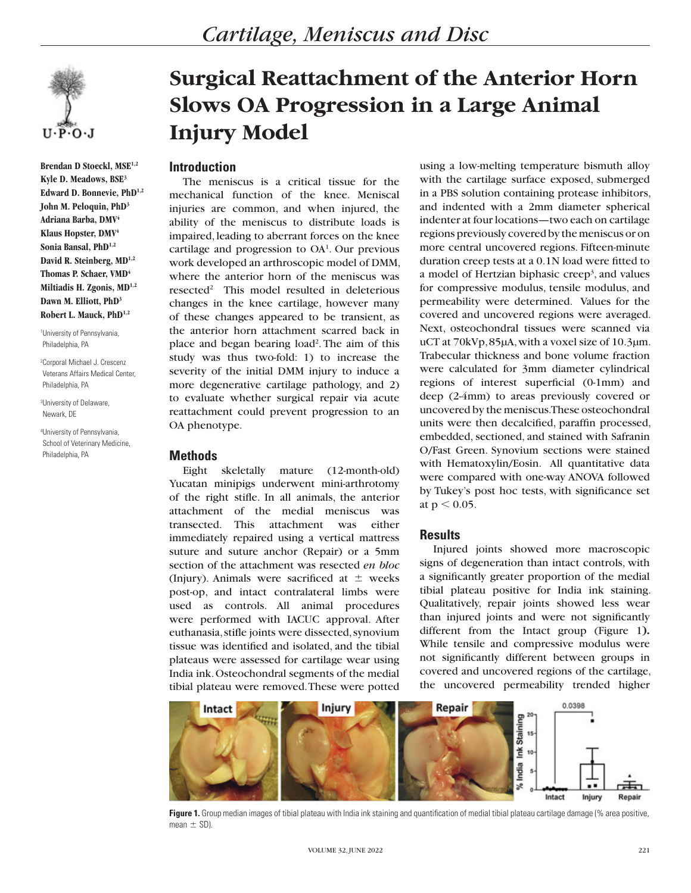

**Brendan D Stoeckl, MSE1,2 Kyle D. Meadows, BSE3 Edward D. Bonnevie, PhD1,2 John M. Peloquin, PhD3 Adriana Barba, DMV4 Klaus Hopster, DMV4 Sonia Bansal, PhD1,2 David R. Steinberg, MD1,2 Thomas P. Schaer, VMD<sup>4</sup> Miltiadis H. Zgonis, MD1,2 Dawn M. Elliott, PhD3 Robert L. Mauck, PhD1,2**

1 University of Pennsylvania, Philadelphia, PA

2 Corporal Michael J. Crescenz Veterans Affairs Medical Center, Philadelphia, PA

3 University of Delaware, Newark, DE

4 University of Pennsylvania, School of Veterinary Medicine, Philadelphia, PA

# **Surgical Reattachment of the Anterior Horn Slows OA Progression in a Large Animal Injury Model**

#### **Introduction**

The meniscus is a critical tissue for the mechanical function of the knee. Meniscal injuries are common, and when injured, the ability of the meniscus to distribute loads is impaired, leading to aberrant forces on the knee cartilage and progression to  $OA<sup>1</sup>$ . Our previous work developed an arthroscopic model of DMM, where the anterior horn of the meniscus was resected<sup>2</sup> This model resulted in deleterious changes in the knee cartilage, however many of these changes appeared to be transient, as the anterior horn attachment scarred back in place and began bearing load<sup>2</sup>. The aim of this study was thus two-fold: 1) to increase the severity of the initial DMM injury to induce a more degenerative cartilage pathology, and 2) to evaluate whether surgical repair via acute reattachment could prevent progression to an OA phenotype.

## **Methods**

Eight skeletally mature (12-month-old) Yucatan minipigs underwent mini-arthrotomy of the right stifle. In all animals, the anterior attachment of the medial meniscus was transected. This attachment was either immediately repaired using a vertical mattress suture and suture anchor (Repair) or a 5mm section of the attachment was resected *en bloc*  (Injury). Animals were sacrificed at  $\pm$  weeks post-op, and intact contralateral limbs were used as controls. All animal procedures were performed with IACUC approval. After euthanasia, stifle joints were dissected, synovium tissue was identified and isolated, and the tibial plateaus were assessed for cartilage wear using India ink. Osteochondral segments of the medial tibial plateau were removed. These were potted

using a low-melting temperature bismuth alloy with the cartilage surface exposed, submerged in a PBS solution containing protease inhibitors, and indented with a 2mm diameter spherical indenter at four locations—two each on cartilage regions previously covered by the meniscus or on more central uncovered regions. Fifteen-minute duration creep tests at a 0.1N load were fitted to a model of Hertzian biphasic creep<sup>3</sup>, and values for compressive modulus, tensile modulus, and permeability were determined. Values for the covered and uncovered regions were averaged. Next, osteochondral tissues were scanned via uCT at 70kVp, 85µA, with a voxel size of 10.3µm. Trabecular thickness and bone volume fraction were calculated for 3mm diameter cylindrical regions of interest superficial (0-1mm) and deep (2-4mm) to areas previously covered or uncovered by the meniscus. These osteochondral units were then decalcified, paraffin processed, embedded, sectioned, and stained with Safranin O/Fast Green. Synovium sections were stained with Hematoxylin/Eosin. All quantitative data were compared with one-way ANOVA followed by Tukey's post hoc tests, with significance set at  $p < 0.05$ .

## **Results**

Injured joints showed more macroscopic signs of degeneration than intact controls, with a significantly greater proportion of the medial tibial plateau positive for India ink staining. Qualitatively, repair joints showed less wear than injured joints and were not significantly different from the Intact group (Figure 1**).** While tensile and compressive modulus were not significantly different between groups in covered and uncovered regions of the cartilage, the uncovered permeability trended higher



Figure 1. Group median images of tibial plateau with India ink staining and quantification of medial tibial plateau cartilage damage (% area positive, mean  $\pm$  SD).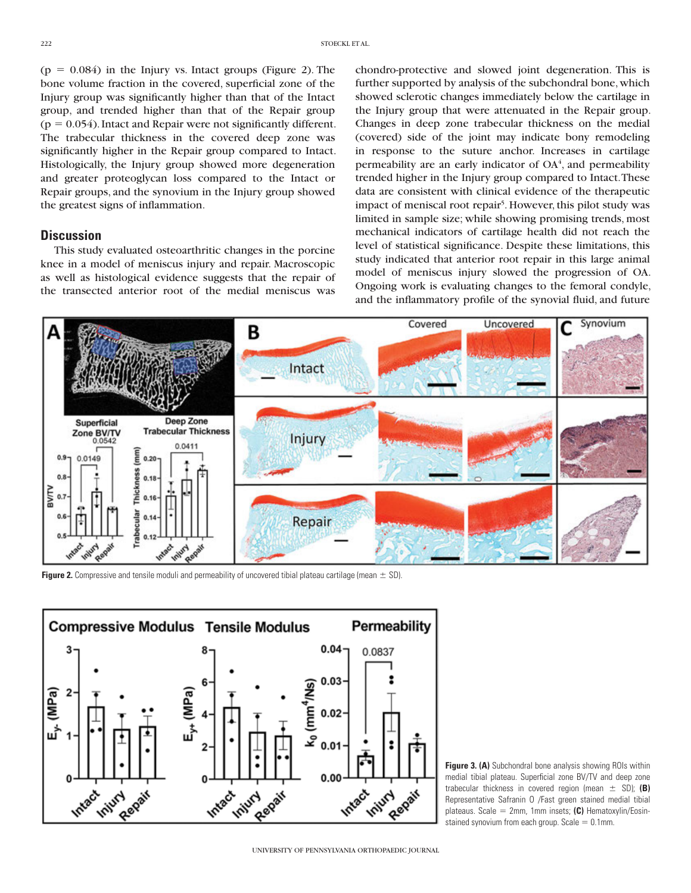$(p = 0.084)$  in the Injury vs. Intact groups (Figure 2). The bone volume fraction in the covered, superficial zone of the Injury group was significantly higher than that of the Intact group, and trended higher than that of the Repair group  $(p = 0.054)$ . Intact and Repair were not significantly different. The trabecular thickness in the covered deep zone was significantly higher in the Repair group compared to Intact. Histologically, the Injury group showed more degeneration and greater proteoglycan loss compared to the Intact or Repair groups, and the synovium in the Injury group showed the greatest signs of inflammation.

#### **Discussion**

This study evaluated osteoarthritic changes in the porcine knee in a model of meniscus injury and repair. Macroscopic as well as histological evidence suggests that the repair of the transected anterior root of the medial meniscus was

chondro-protective and slowed joint degeneration. This is further supported by analysis of the subchondral bone, which showed sclerotic changes immediately below the cartilage in the Injury group that were attenuated in the Repair group. Changes in deep zone trabecular thickness on the medial (covered) side of the joint may indicate bony remodeling in response to the suture anchor. Increases in cartilage permeability are an early indicator of  $OA<sup>4</sup>$ , and permeability trended higher in the Injury group compared to Intact. These data are consistent with clinical evidence of the therapeutic impact of meniscal root repair<sup>5</sup>. However, this pilot study was limited in sample size; while showing promising trends, most mechanical indicators of cartilage health did not reach the level of statistical significance. Despite these limitations, this study indicated that anterior root repair in this large animal model of meniscus injury slowed the progression of OA. Ongoing work is evaluating changes to the femoral condyle, and the inflammatory profile of the synovial fluid, and future



**Figure 2.** Compressive and tensile moduli and permeability of uncovered tibial plateau cartilage (mean  $\pm$  SD).



**Figure 3. (A)** Subchondral bone analysis showing ROIs within medial tibial plateau. Superficial zone BV/TV and deep zone trabecular thickness in covered region (mean  $\pm$  SD); (B) Representative Safranin O /Fast green stained medial tibial plateaus. Scale = 2mm, 1mm insets; (C) Hematoxylin/Eosinstained synovium from each group. Scale  $= 0.1$ mm.